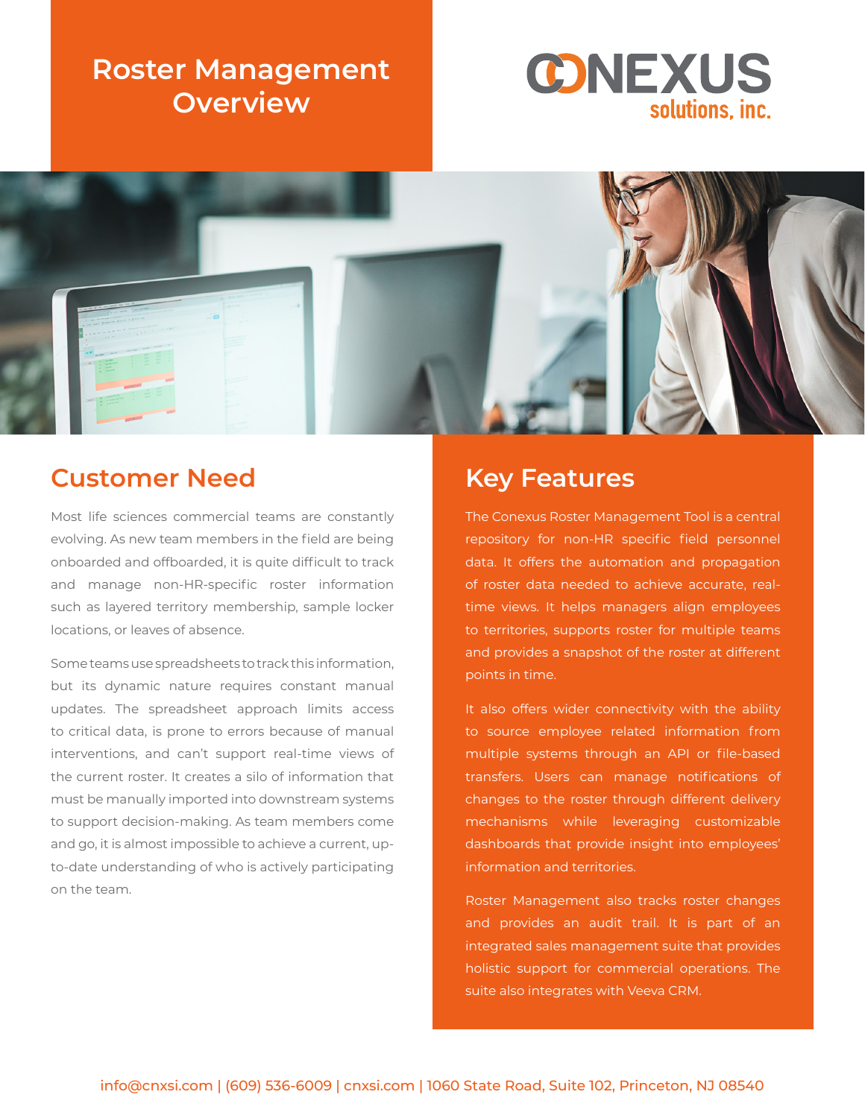# **Roster Management Overview**





## **Customer Need**

Most life sciences commercial teams are constantly evolving. As new team members in the field are being onboarded and offboarded, it is quite difficult to track and manage non-HR-specific roster information such as layered territory membership, sample locker locations, or leaves of absence.

Some teams use spreadsheets to track this information, but its dynamic nature requires constant manual updates. The spreadsheet approach limits access to critical data, is prone to errors because of manual interventions, and can't support real-time views of the current roster. It creates a silo of information that must be manually imported into downstream systems to support decision-making. As team members come and go, it is almost impossible to achieve a current, upto-date understanding of who is actively participating on the team.

## **Key Features**

The Conexus Roster Management Tool is a central repository for non-HR specific field personnel data. It offers the automation and propagation of roster data needed to achieve accurate, realtime views. It helps managers align employees to territories, supports roster for multiple teams and provides a snapshot of the roster at different points in time.

It also offers wider connectivity with the ability to source employee related information from multiple systems through an API or file-based transfers. Users can manage notifications of changes to the roster through different delivery mechanisms while leveraging customizable dashboards that provide insight into employees' information and territories.

Roster Management also tracks roster changes and provides an audit trail. It is part of an integrated sales management suite that provides holistic support for commercial operations. The suite also integrates with Veeva CRM.